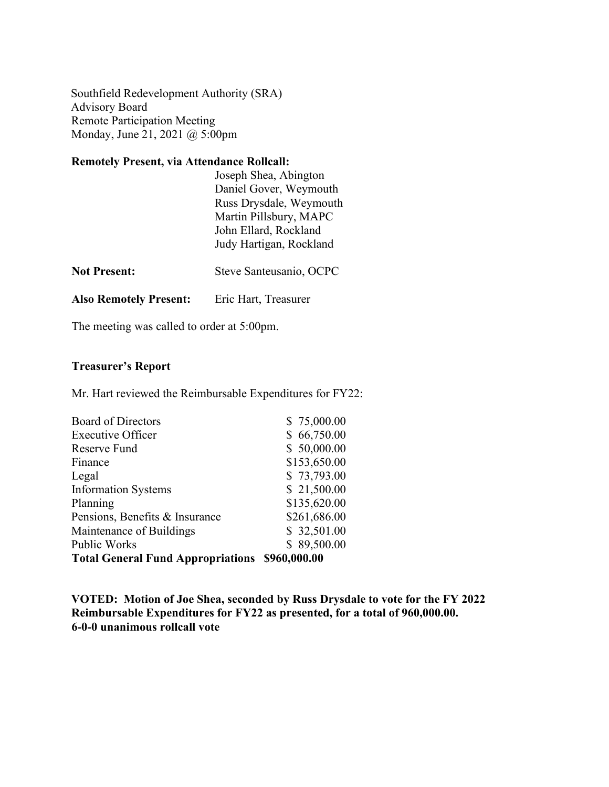Southfield Redevelopment Authority (SRA) Advisory Board Remote Participation Meeting Monday, June 21, 2021 @ 5:00pm

## **Remotely Present, via Attendance Rollcall:**

|                               | Joseph Shea, Abington<br>Daniel Gover, Weymouth<br>Russ Drysdale, Weymouth<br>Martin Pillsbury, MAPC<br>John Ellard, Rockland<br>Judy Hartigan, Rockland |
|-------------------------------|----------------------------------------------------------------------------------------------------------------------------------------------------------|
| <b>Not Present:</b>           | Steve Santeusanio, OCPC                                                                                                                                  |
| <b>Also Remotely Present:</b> | Eric Hart, Treasurer                                                                                                                                     |

The meeting was called to order at 5:00pm.

## **Treasurer's Report**

Mr. Hart reviewed the Reimbursable Expenditures for FY22:

| <b>Total General Fund Appropriations \$960,000.00</b> |              |
|-------------------------------------------------------|--------------|
| <b>Public Works</b>                                   | \$89,500.00  |
| Maintenance of Buildings                              | \$32,501.00  |
| Pensions, Benefits & Insurance                        | \$261,686.00 |
| Planning                                              | \$135,620.00 |
| <b>Information Systems</b>                            | \$21,500.00  |
| Legal                                                 | \$73,793.00  |
| Finance                                               | \$153,650.00 |
| Reserve Fund                                          | \$50,000.00  |
| <b>Executive Officer</b>                              | \$66,750.00  |
| <b>Board of Directors</b>                             | \$75,000.00  |
|                                                       |              |

**VOTED: Motion of Joe Shea, seconded by Russ Drysdale to vote for the FY 2022 Reimbursable Expenditures for FY22 as presented, for a total of 960,000.00. 6-0-0 unanimous rollcall vote**